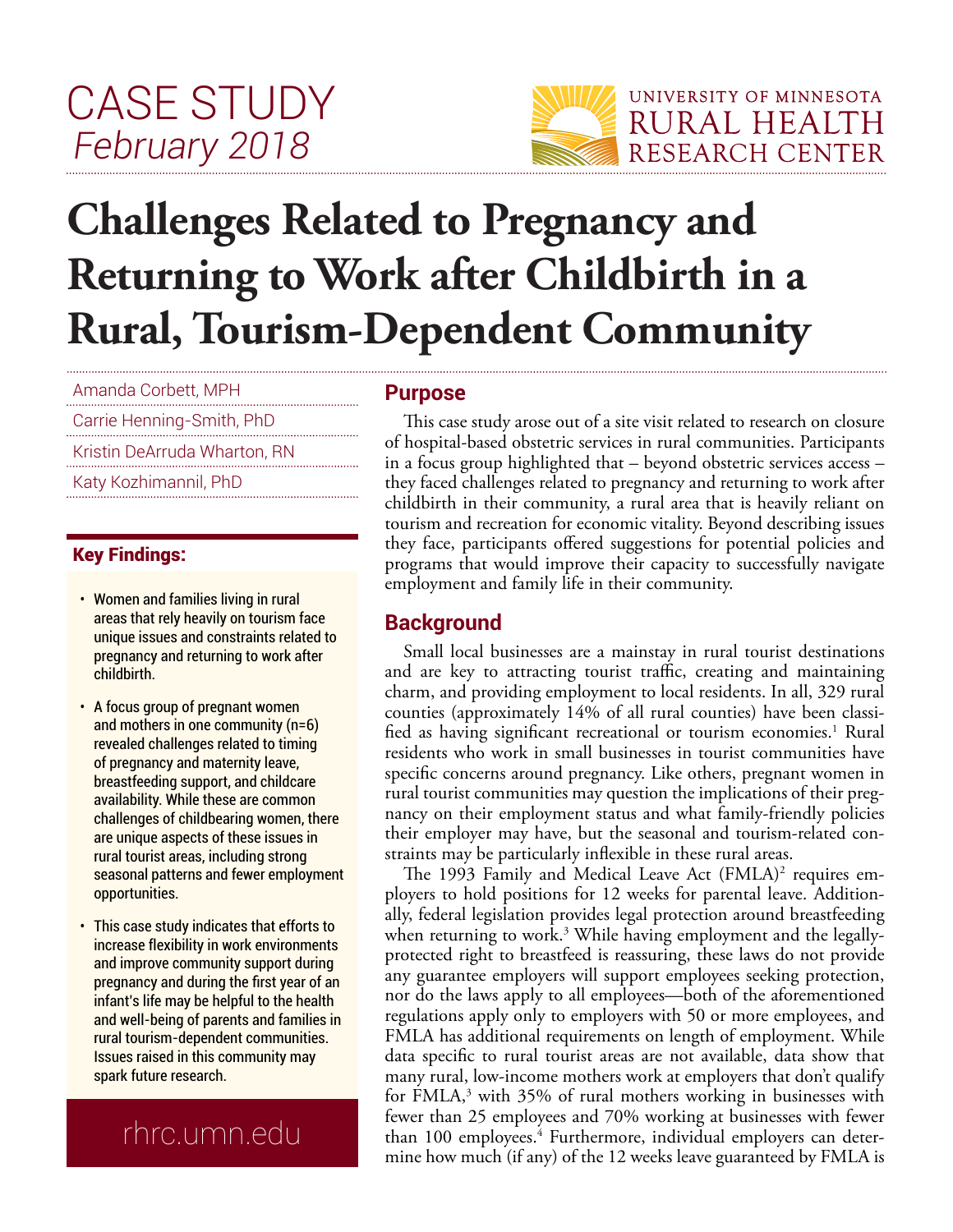# CASE STUDY *February 2018*



# **Challenges Related to Pregnancy and Returning to Work after Childbirth in a Rural, Tourism-Dependent Community**

Amanda Corbett, MPH

Carrie Henning-Smith, PhD

Kristin DeArruda Wharton, RN

Katy Kozhimannil, PhD

#### Key Findings:

- $\cdot$  Women and families living in rural areas that rely heavily on tourism face unique issues and constraints related to pregnancy and returning to work after childbirth.
- A focus group of pregnant women and mothers in one community (n=6) revealed challenges related to timing of pregnancy and maternity leave, breastfeeding support, and childcare availability. While these are common challenges of childbearing women, there are unique aspects of these issues in rural tourist areas, including strong seasonal patterns and fewer employment opportunities.
- This case study indicates that efforts to increase flexibility in work environments and improve community support during pregnancy and during the first year of an infant's life may be helpful to the health and well-being of parents and families in rural tourism-dependent communities. Issues raised in this community may spark future research.

# rhrc.umn.edu

#### **Purpose**

This case study arose out of a site visit related to research on closure of hospital-based obstetric services in rural communities. Participants in a focus group highlighted that – beyond obstetric services access – they faced challenges related to pregnancy and returning to work after childbirth in their community, a rural area that is heavily reliant on tourism and recreation for economic vitality. Beyond describing issues they face, participants offered suggestions for potential policies and programs that would improve their capacity to successfully navigate employment and family life in their community.

## **Background**

Small local businesses are a mainstay in rural tourist destinations and are key to attracting tourist traffic, creating and maintaining charm, and providing employment to local residents. In all, 329 rural counties (approximately 14% of all rural counties) have been classified as having significant recreational or tourism economies.<sup>1</sup> Rural residents who work in small businesses in tourist communities have specific concerns around pregnancy. Like others, pregnant women in rural tourist communities may question the implications of their pregnancy on their employment status and what family-friendly policies their employer may have, but the seasonal and tourism-related constraints may be particularly inflexible in these rural areas.

The 1993 Family and Medical Leave Act (FMLA)<sup>2</sup> requires employers to hold positions for 12 weeks for parental leave. Additionally, federal legislation provides legal protection around breastfeeding when returning to work. $^3$  While having employment and the legallyprotected right to breastfeed is reassuring, these laws do not provide any guarantee employers will support employees seeking protection, nor do the laws apply to all employees—both of the aforementioned regulations apply only to employers with 50 or more employees, and FMLA has additional requirements on length of employment. While data specific to rural tourist areas are not available, data show that many rural, low-income mothers work at employers that don't qualify for FMLA,<sup>3</sup> with 35% of rural mothers working in businesses with fewer than 25 employees and 70% working at businesses with fewer than 100 employees.<sup>4</sup> Furthermore, individual employers can determine how much (if any) of the 12 weeks leave guaranteed by FMLA is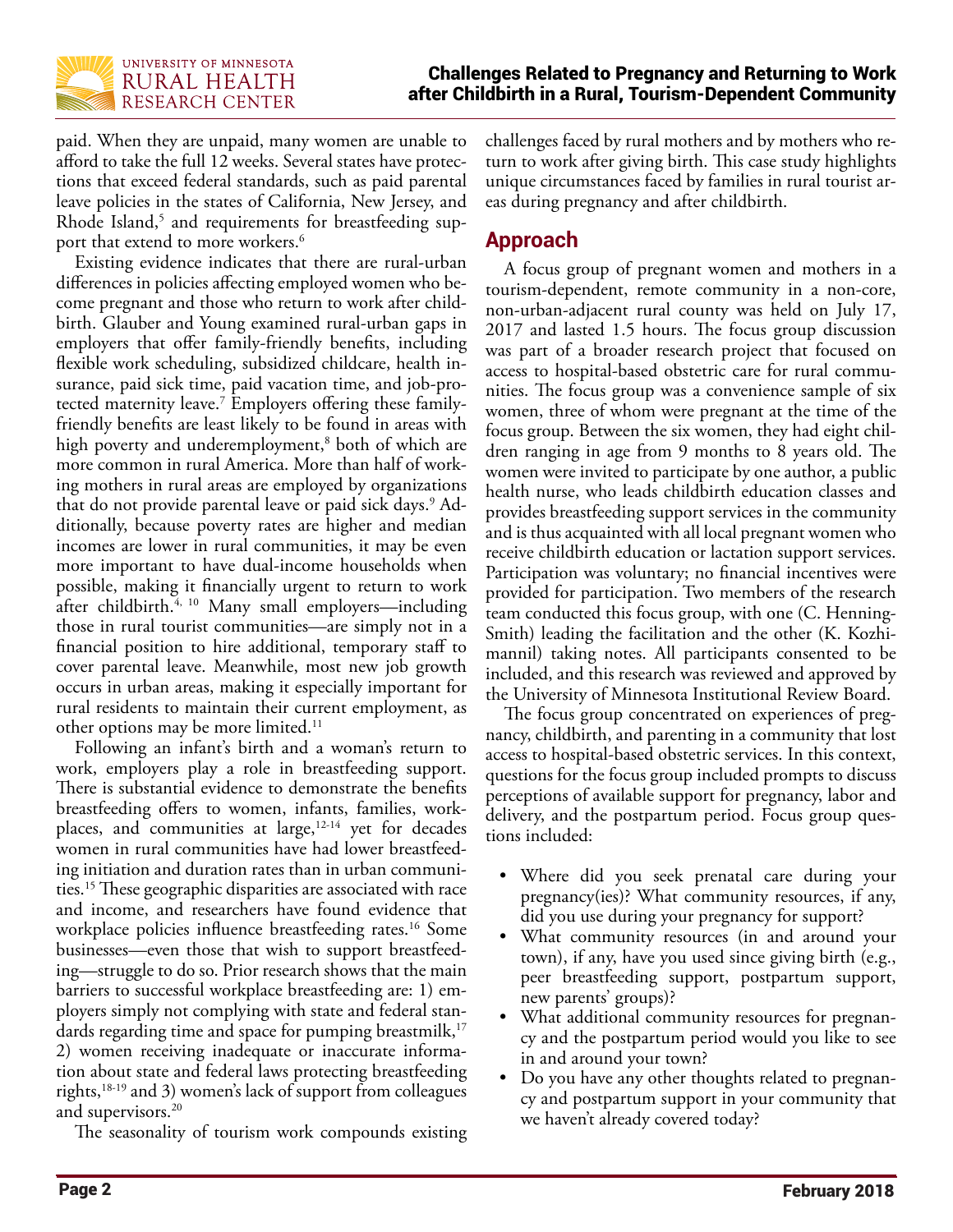

paid. When they are unpaid, many women are unable to afford to take the full 12 weeks. Several states have protections that exceed federal standards, such as paid parental leave policies in the states of California, New Jersey, and Rhode Island,<sup>5</sup> and requirements for breastfeeding support that extend to more workers.<sup>6</sup>

Existing evidence indicates that there are rural-urban differences in policies affecting employed women who become pregnant and those who return to work after childbirth. Glauber and Young examined rural-urban gaps in employers that offer family-friendly benefits, including flexible work scheduling, subsidized childcare, health insurance, paid sick time, paid vacation time, and job-protected maternity leave.7 Employers offering these familyfriendly benefits are least likely to be found in areas with high poverty and underemployment,<sup>8</sup> both of which are more common in rural America. More than half of working mothers in rural areas are employed by organizations that do not provide parental leave or paid sick days.<sup>9</sup> Additionally, because poverty rates are higher and median incomes are lower in rural communities, it may be even more important to have dual-income households when possible, making it financially urgent to return to work after childbirth.<sup>4, 10</sup> Many small employers—including those in rural tourist communities—are simply not in a financial position to hire additional, temporary staff to cover parental leave. Meanwhile, most new job growth occurs in urban areas, making it especially important for rural residents to maintain their current employment, as other options may be more limited.<sup>11</sup>

Following an infant's birth and a woman's return to work, employers play a role in breastfeeding support. There is substantial evidence to demonstrate the benefits breastfeeding offers to women, infants, families, workplaces, and communities at large,12-14 yet for decades women in rural communities have had lower breastfeeding initiation and duration rates than in urban communities.15 These geographic disparities are associated with race and income, and researchers have found evidence that workplace policies influence breastfeeding rates.<sup>16</sup> Some businesses—even those that wish to support breastfeeding—struggle to do so. Prior research shows that the main barriers to successful workplace breastfeeding are: 1) employers simply not complying with state and federal standards regarding time and space for pumping breastmilk,<sup>17</sup> 2) women receiving inadequate or inaccurate information about state and federal laws protecting breastfeeding rights,18-19 and 3) women's lack of support from colleagues and supervisors.<sup>20</sup>

The seasonality of tourism work compounds existing

challenges faced by rural mothers and by mothers who return to work after giving birth. This case study highlights unique circumstances faced by families in rural tourist areas during pregnancy and after childbirth.

## **Approach**

A focus group of pregnant women and mothers in a tourism-dependent, remote community in a non-core, non-urban-adjacent rural county was held on July 17, 2017 and lasted 1.5 hours. The focus group discussion was part of a broader research project that focused on access to hospital-based obstetric care for rural communities. The focus group was a convenience sample of six women, three of whom were pregnant at the time of the focus group. Between the six women, they had eight children ranging in age from 9 months to 8 years old. The women were invited to participate by one author, a public health nurse, who leads childbirth education classes and provides breastfeeding support services in the community and is thus acquainted with all local pregnant women who receive childbirth education or lactation support services. Participation was voluntary; no financial incentives were provided for participation. Two members of the research team conducted this focus group, with one (C. Henning-Smith) leading the facilitation and the other (K. Kozhimannil) taking notes. All participants consented to be included, and this research was reviewed and approved by the University of Minnesota Institutional Review Board.

The focus group concentrated on experiences of pregnancy, childbirth, and parenting in a community that lost access to hospital-based obstetric services. In this context, questions for the focus group included prompts to discuss perceptions of available support for pregnancy, labor and delivery, and the postpartum period. Focus group questions included:

- Where did you seek prenatal care during your pregnancy(ies)? What community resources, if any, did you use during your pregnancy for support?
- What community resources (in and around your town), if any, have you used since giving birth (e.g., peer breastfeeding support, postpartum support, new parents' groups)?
- What additional community resources for pregnancy and the postpartum period would you like to see in and around your town?
- Do you have any other thoughts related to pregnancy and postpartum support in your community that we haven't already covered today?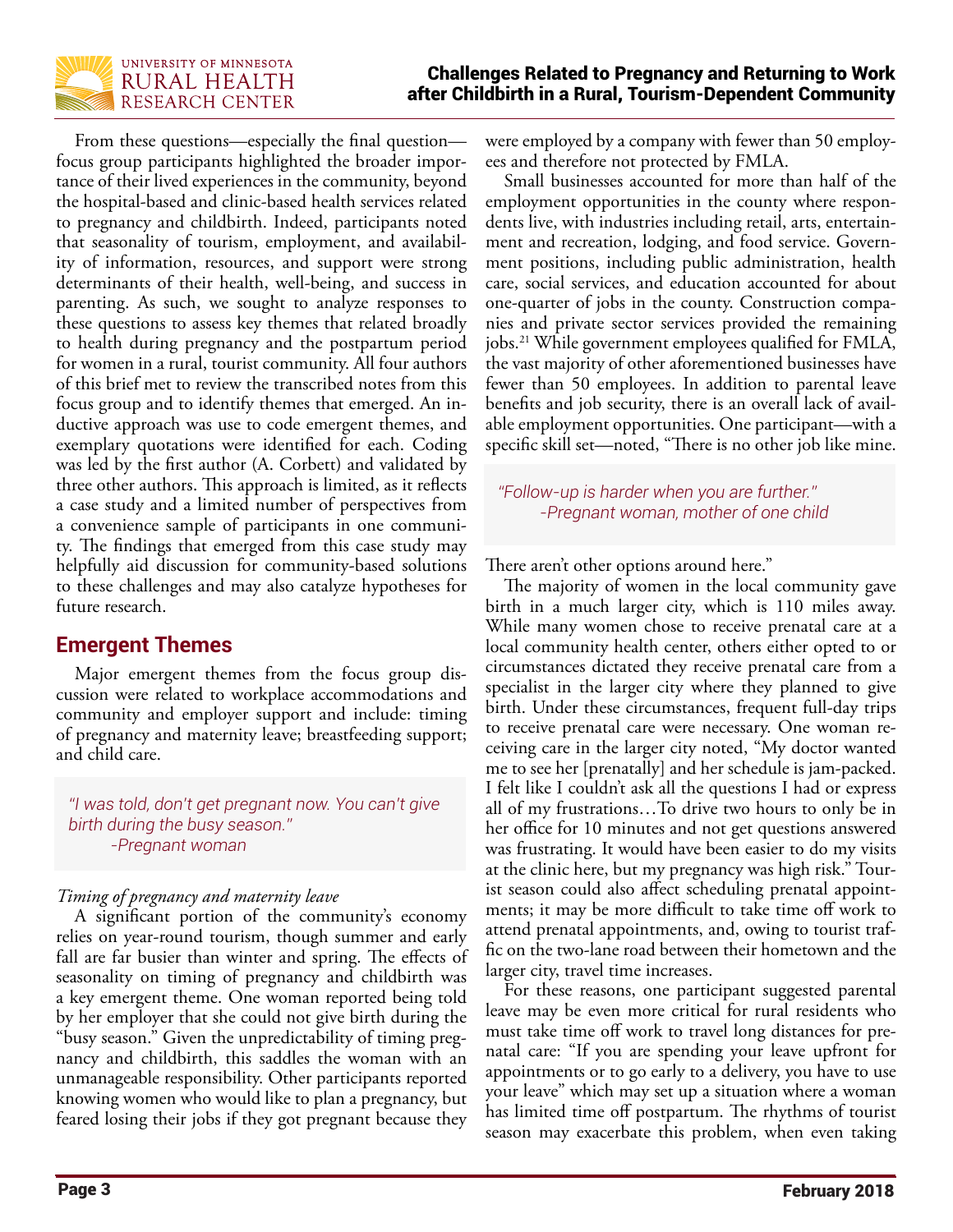

From these questions—especially the final question focus group participants highlighted the broader importance of their lived experiences in the community, beyond the hospital-based and clinic-based health services related to pregnancy and childbirth. Indeed, participants noted that seasonality of tourism, employment, and availability of information, resources, and support were strong determinants of their health, well-being, and success in parenting. As such, we sought to analyze responses to these questions to assess key themes that related broadly to health during pregnancy and the postpartum period for women in a rural, tourist community. All four authors of this brief met to review the transcribed notes from this focus group and to identify themes that emerged. An inductive approach was use to code emergent themes, and exemplary quotations were identified for each. Coding was led by the first author (A. Corbett) and validated by three other authors. This approach is limited, as it reflects a case study and a limited number of perspectives from a convenience sample of participants in one community. The findings that emerged from this case study may helpfully aid discussion for community-based solutions to these challenges and may also catalyze hypotheses for future research.

### **Emergent Themes**

Major emergent themes from the focus group discussion were related to workplace accommodations and community and employer support and include: timing of pregnancy and maternity leave; breastfeeding support; and child care.

*"I was told, don't get pregnant now. You can't give birth during the busy season." -Pregnant woman*

#### *Timing of pregnancy and maternity leave*

A significant portion of the community's economy relies on year-round tourism, though summer and early fall are far busier than winter and spring. The effects of seasonality on timing of pregnancy and childbirth was a key emergent theme. One woman reported being told by her employer that she could not give birth during the "busy season." Given the unpredictability of timing pregnancy and childbirth, this saddles the woman with an unmanageable responsibility. Other participants reported knowing women who would like to plan a pregnancy, but feared losing their jobs if they got pregnant because they

were employed by a company with fewer than 50 employees and therefore not protected by FMLA.

Small businesses accounted for more than half of the employment opportunities in the county where respondents live, with industries including retail, arts, entertainment and recreation, lodging, and food service. Government positions, including public administration, health care, social services, and education accounted for about one-quarter of jobs in the county. Construction companies and private sector services provided the remaining jobs.21 While government employees qualified for FMLA, the vast majority of other aforementioned businesses have fewer than 50 employees. In addition to parental leave benefits and job security, there is an overall lack of available employment opportunities. One participant—with a specific skill set—noted, "There is no other job like mine.

*"Follow-up is harder when you are further." -Pregnant woman, mother of one child*

There aren't other options around here."

The majority of women in the local community gave birth in a much larger city, which is 110 miles away. While many women chose to receive prenatal care at a local community health center, others either opted to or circumstances dictated they receive prenatal care from a specialist in the larger city where they planned to give birth. Under these circumstances, frequent full-day trips to receive prenatal care were necessary. One woman receiving care in the larger city noted, "My doctor wanted me to see her [prenatally] and her schedule is jam-packed. I felt like I couldn't ask all the questions I had or express all of my frustrations…To drive two hours to only be in her office for 10 minutes and not get questions answered was frustrating. It would have been easier to do my visits at the clinic here, but my pregnancy was high risk." Tourist season could also affect scheduling prenatal appointments; it may be more difficult to take time off work to attend prenatal appointments, and, owing to tourist traffic on the two-lane road between their hometown and the larger city, travel time increases.

For these reasons, one participant suggested parental leave may be even more critical for rural residents who must take time off work to travel long distances for prenatal care: "If you are spending your leave upfront for appointments or to go early to a delivery, you have to use your leave" which may set up a situation where a woman has limited time off postpartum. The rhythms of tourist season may exacerbate this problem, when even taking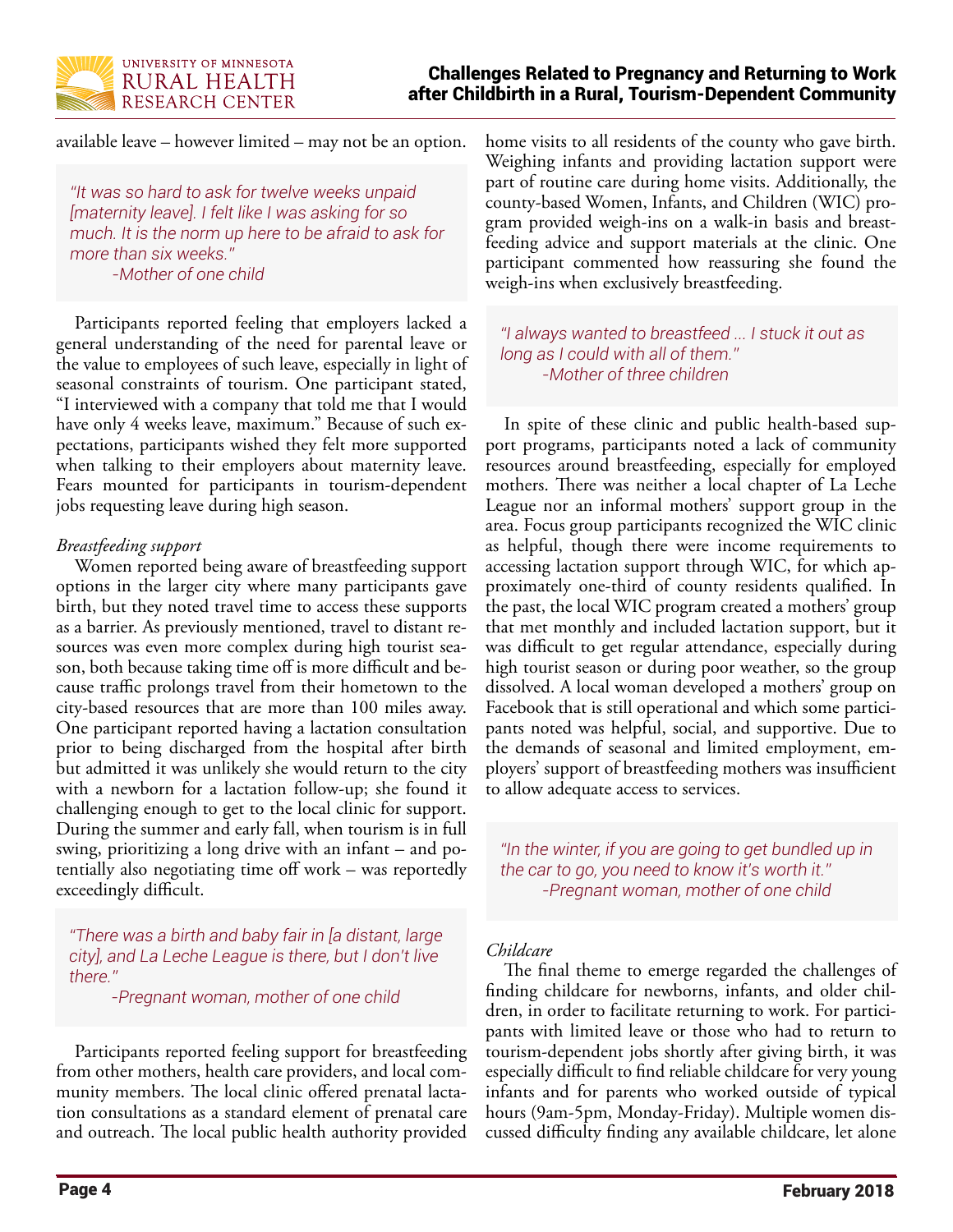

available leave – however limited – may not be an option.

*"It was so hard to ask for twelve weeks unpaid [maternity leave]. I felt like I was asking for so much. It is the norm up here to be afraid to ask for more than six weeks." -Mother of one child*

Participants reported feeling that employers lacked a general understanding of the need for parental leave or the value to employees of such leave, especially in light of seasonal constraints of tourism. One participant stated, "I interviewed with a company that told me that I would have only 4 weeks leave, maximum." Because of such expectations, participants wished they felt more supported when talking to their employers about maternity leave. Fears mounted for participants in tourism-dependent jobs requesting leave during high season.

#### *Breastfeeding support*

Women reported being aware of breastfeeding support options in the larger city where many participants gave birth, but they noted travel time to access these supports as a barrier. As previously mentioned, travel to distant resources was even more complex during high tourist season, both because taking time off is more difficult and because traffic prolongs travel from their hometown to the city-based resources that are more than 100 miles away. One participant reported having a lactation consultation prior to being discharged from the hospital after birth but admitted it was unlikely she would return to the city with a newborn for a lactation follow-up; she found it challenging enough to get to the local clinic for support. During the summer and early fall, when tourism is in full swing, prioritizing a long drive with an infant – and potentially also negotiating time off work – was reportedly exceedingly difficult.

*"There was a birth and baby fair in [a distant, large city], and La Leche League is there, but I don't live there."* 

*-Pregnant woman, mother of one child*

Participants reported feeling support for breastfeeding from other mothers, health care providers, and local community members. The local clinic offered prenatal lactation consultations as a standard element of prenatal care and outreach. The local public health authority provided home visits to all residents of the county who gave birth. Weighing infants and providing lactation support were part of routine care during home visits. Additionally, the county-based Women, Infants, and Children (WIC) program provided weigh-ins on a walk-in basis and breastfeeding advice and support materials at the clinic. One participant commented how reassuring she found the weigh-ins when exclusively breastfeeding.

*"I always wanted to breastfeed ... I stuck it out as long as I could with all of them." -Mother of three children*

In spite of these clinic and public health-based support programs, participants noted a lack of community resources around breastfeeding, especially for employed mothers. There was neither a local chapter of La Leche League nor an informal mothers' support group in the area. Focus group participants recognized the WIC clinic as helpful, though there were income requirements to accessing lactation support through WIC, for which approximately one-third of county residents qualified. In the past, the local WIC program created a mothers' group that met monthly and included lactation support, but it was difficult to get regular attendance, especially during high tourist season or during poor weather, so the group dissolved. A local woman developed a mothers' group on Facebook that is still operational and which some participants noted was helpful, social, and supportive. Due to the demands of seasonal and limited employment, employers' support of breastfeeding mothers was insufficient to allow adequate access to services.

*"In the winter, if you are going to get bundled up in the car to go, you need to know it's worth it." -Pregnant woman, mother of one child*

#### *Childcare*

The final theme to emerge regarded the challenges of finding childcare for newborns, infants, and older children, in order to facilitate returning to work. For participants with limited leave or those who had to return to tourism-dependent jobs shortly after giving birth, it was especially difficult to find reliable childcare for very young infants and for parents who worked outside of typical hours (9am-5pm, Monday-Friday). Multiple women discussed difficulty finding any available childcare, let alone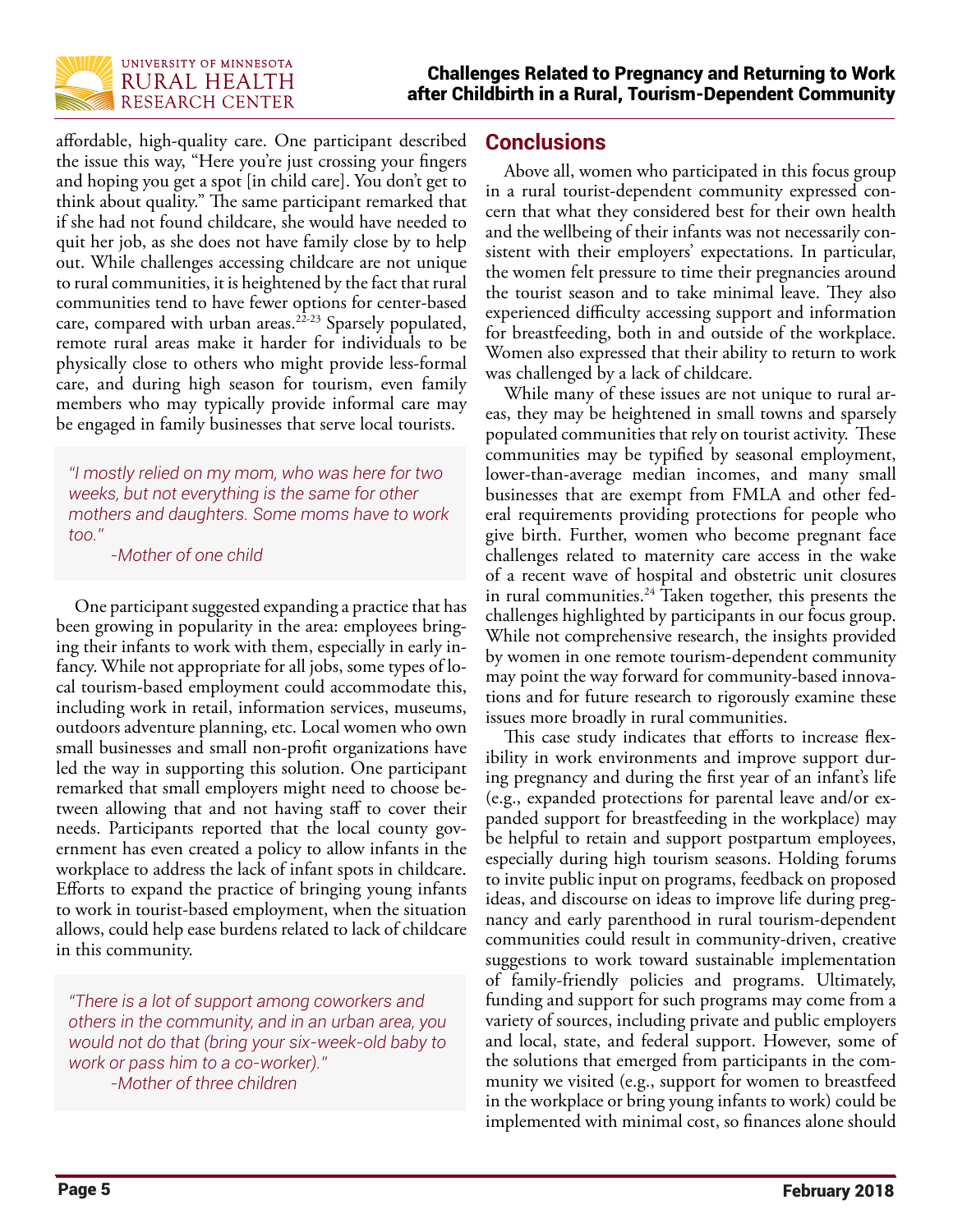

affordable, high-quality care. One participant described the issue this way, "Here you're just crossing your fingers and hoping you get a spot [in child care]. You don't get to think about quality." The same participant remarked that if she had not found childcare, she would have needed to quit her job, as she does not have family close by to help out. While challenges accessing childcare are not unique to rural communities, it is heightened by the fact that rural communities tend to have fewer options for center-based care, compared with urban areas.<sup>22-23</sup> Sparsely populated, remote rural areas make it harder for individuals to be physically close to others who might provide less-formal care, and during high season for tourism, even family members who may typically provide informal care may be engaged in family businesses that serve local tourists.

*"I mostly relied on my mom, who was here for two weeks, but not everything is the same for other mothers and daughters. Some moms have to work too."* 

*-Mother of one child*

One participant suggested expanding a practice that has been growing in popularity in the area: employees bringing their infants to work with them, especially in early infancy. While not appropriate for all jobs, some types of local tourism-based employment could accommodate this, including work in retail, information services, museums, outdoors adventure planning, etc. Local women who own small businesses and small non-profit organizations have led the way in supporting this solution. One participant remarked that small employers might need to choose between allowing that and not having staff to cover their needs. Participants reported that the local county government has even created a policy to allow infants in the workplace to address the lack of infant spots in childcare. Efforts to expand the practice of bringing young infants to work in tourist-based employment, when the situation allows, could help ease burdens related to lack of childcare in this community.

*"There is a lot of support among coworkers and others in the community, and in an urban area, you would not do that (bring your six-week-old baby to work or pass him to a co-worker)." -Mother of three children*

#### **Conclusions**

Above all, women who participated in this focus group in a rural tourist-dependent community expressed concern that what they considered best for their own health and the wellbeing of their infants was not necessarily consistent with their employers' expectations. In particular, the women felt pressure to time their pregnancies around the tourist season and to take minimal leave. They also experienced difficulty accessing support and information for breastfeeding, both in and outside of the workplace. Women also expressed that their ability to return to work was challenged by a lack of childcare.

While many of these issues are not unique to rural areas, they may be heightened in small towns and sparsely populated communities that rely on tourist activity. These communities may be typified by seasonal employment, lower-than-average median incomes, and many small businesses that are exempt from FMLA and other federal requirements providing protections for people who give birth. Further, women who become pregnant face challenges related to maternity care access in the wake of a recent wave of hospital and obstetric unit closures in rural communities.<sup>24</sup> Taken together, this presents the challenges highlighted by participants in our focus group. While not comprehensive research, the insights provided by women in one remote tourism-dependent community may point the way forward for community-based innovations and for future research to rigorously examine these issues more broadly in rural communities.

This case study indicates that efforts to increase flexibility in work environments and improve support during pregnancy and during the first year of an infant's life (e.g., expanded protections for parental leave and/or expanded support for breastfeeding in the workplace) may be helpful to retain and support postpartum employees, especially during high tourism seasons. Holding forums to invite public input on programs, feedback on proposed ideas, and discourse on ideas to improve life during pregnancy and early parenthood in rural tourism-dependent communities could result in community-driven, creative suggestions to work toward sustainable implementation of family-friendly policies and programs. Ultimately, funding and support for such programs may come from a variety of sources, including private and public employers and local, state, and federal support. However, some of the solutions that emerged from participants in the community we visited (e.g., support for women to breastfeed in the workplace or bring young infants to work) could be implemented with minimal cost, so finances alone should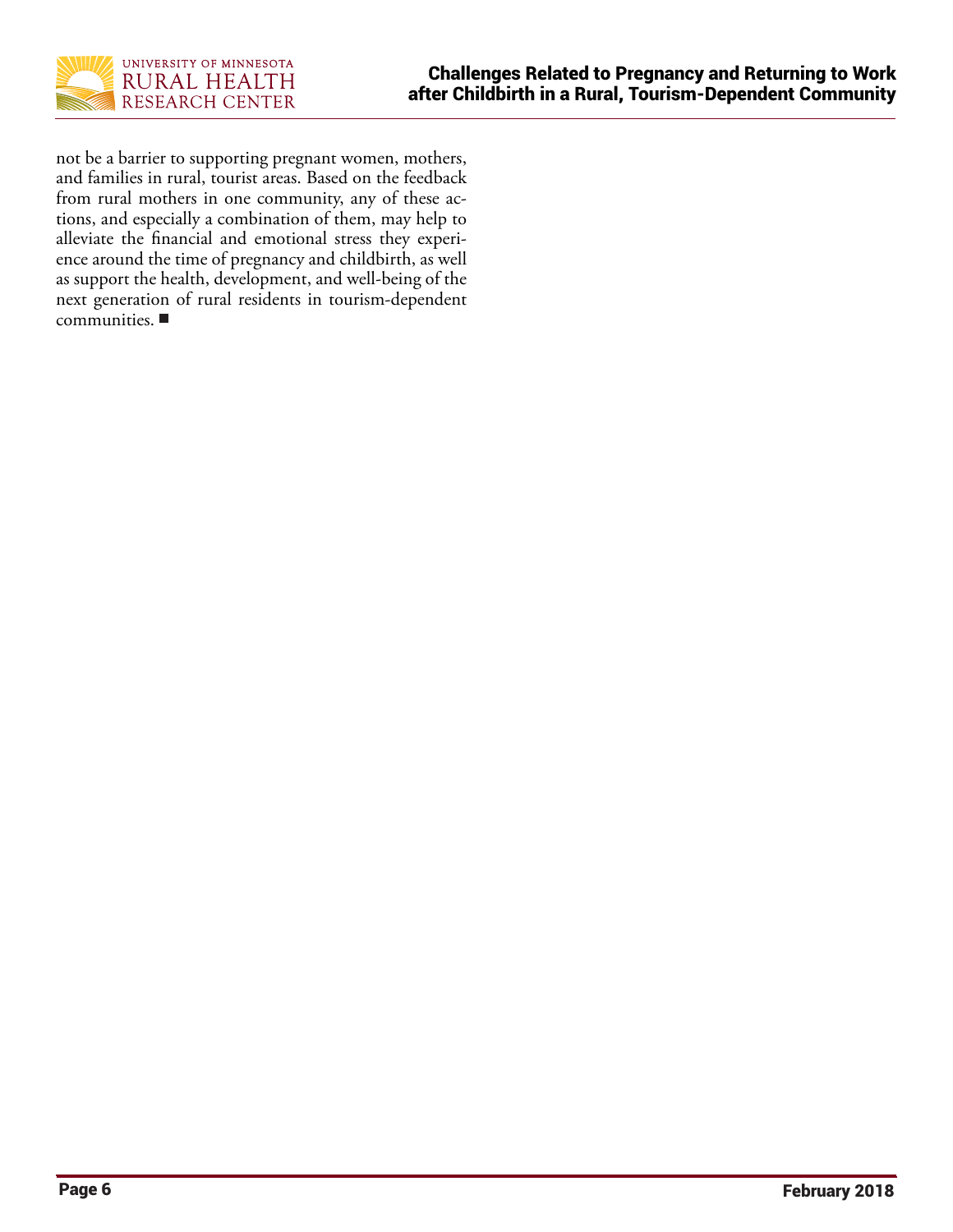

not be a barrier to supporting pregnant women, mothers, and families in rural, tourist areas. Based on the feedback from rural mothers in one community, any of these actions, and especially a combination of them, may help to alleviate the financial and emotional stress they experience around the time of pregnancy and childbirth, as well as support the health, development, and well-being of the next generation of rural residents in tourism-dependent communities.  $\blacksquare$